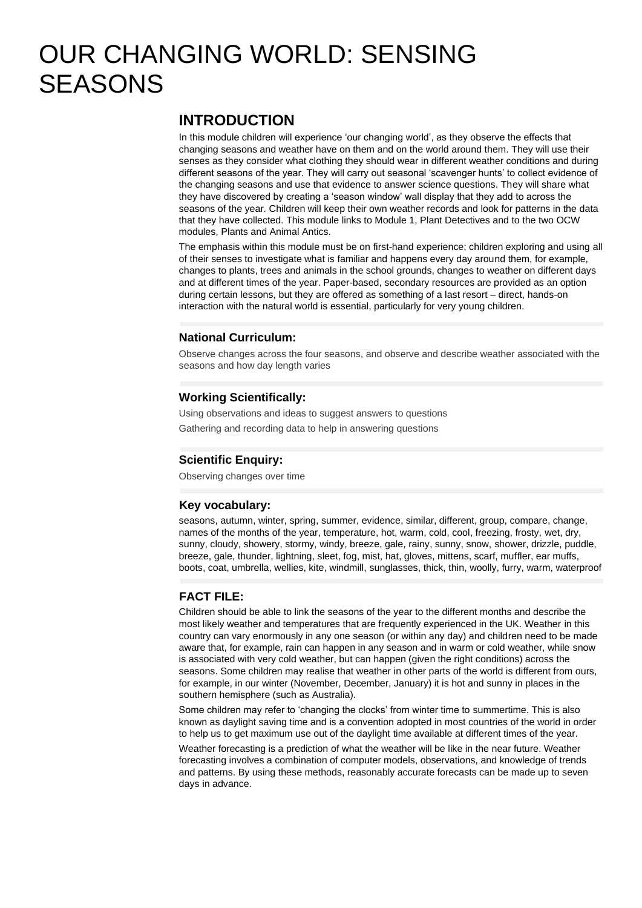# OUR CHANGING WORLD: SENSING **SEASONS**

## **INTRODUCTION**

In this module children will experience 'our changing world', as they observe the effects that changing seasons and weather have on them and on the world around them. They will use their senses as they consider what clothing they should wear in different weather conditions and during different seasons of the year. They will carry out seasonal 'scavenger hunts' to collect evidence of the changing seasons and use that evidence to answer science questions. They will share what they have discovered by creating a 'season window' wall display that they add to across the seasons of the year. Children will keep their own weather records and look for patterns in the data that they have collected. This module links to Module 1, Plant Detectives and to the two OCW modules, Plants and Animal Antics.

The emphasis within this module must be on first-hand experience; children exploring and using all of their senses to investigate what is familiar and happens every day around them, for example, changes to plants, trees and animals in the school grounds, changes to weather on different days and at different times of the year. Paper-based, secondary resources are provided as an option during certain lessons, but they are offered as something of a last resort – direct, hands-on interaction with the natural world is essential, particularly for very young children.

### **National Curriculum:**

Observe changes across the four seasons, and observe and describe weather associated with the seasons and how day length varies

#### **Working Scientifically:**

Using observations and ideas to suggest answers to questions Gathering and recording data to help in answering questions

#### **Scientific Enquiry:**

Observing changes over time

#### **Key vocabulary:**

seasons, autumn, winter, spring, summer, evidence, similar, different, group, compare, change, names of the months of the year, temperature, hot, warm, cold, cool, freezing, frosty, wet, dry, sunny, cloudy, showery, stormy, windy, breeze, gale, rainy, sunny, snow, shower, drizzle, puddle, breeze, gale, thunder, lightning, sleet, fog, mist, hat, gloves, mittens, scarf, muffler, ear muffs, boots, coat, umbrella, wellies, kite, windmill, sunglasses, thick, thin, woolly, furry, warm, waterproof

#### **FACT FILE:**

Children should be able to link the seasons of the year to the different months and describe the most likely weather and temperatures that are frequently experienced in the UK. Weather in this country can vary enormously in any one season (or within any day) and children need to be made aware that, for example, rain can happen in any season and in warm or cold weather, while snow is associated with very cold weather, but can happen (given the right conditions) across the seasons. Some children may realise that weather in other parts of the world is different from ours, for example, in our winter (November, December, January) it is hot and sunny in places in the southern hemisphere (such as Australia).

Some children may refer to 'changing the clocks' from winter time to summertime. This is also known as daylight saving time and is a convention adopted in most countries of the world in order to help us to get maximum use out of the daylight time available at different times of the year.

Weather forecasting is a prediction of what the weather will be like in the near future. Weather forecasting involves a combination of computer models, observations, and knowledge of trends and patterns. By using these methods, reasonably accurate forecasts can be made up to seven days in advance.